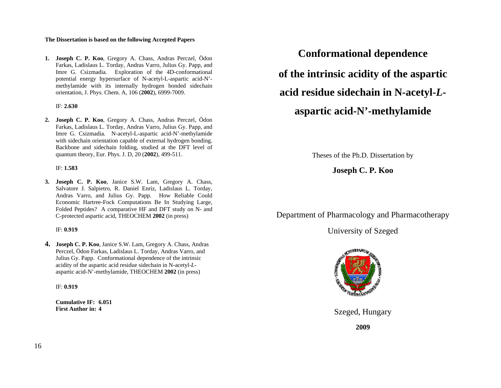### **The Dissertation is based on the following Accepted Papers**

**1. Joseph C. P. Koo**, Gregory A. Chass, Andras Perczel, Ödon Farkas, Ladislaus L. Torday, Andras Varro, Julius Gy. Papp, and Imre G. Csizmadia. Exploration of the 4D-conformational potential energy hypersurface of N-acetyl-L-aspartic acid-N' methylamide with its internally hydrogen bonded sidechain orientation, J. Phys. Chem. A, 106 (**2002**), 6999-7009.

#### IF: **2.630**

**2. Joseph C. P. Koo**, Gregory A. Chass, Andras Perczel, Ödon Farkas, Ladislaus L. Torday, Andras Varro, Julius Gy. Papp, and Imre G. Csizmadia. N-acetyl-L-aspartic acid-N'-methylamide with sidechain orientation capable of external hydrogen bonding. Backbone and sidechain folding, studied at the DFT level of quantum theory, Eur. Phys. J. D, 20 (**2002**), 499-511.

#### IF: **1.583**

**3. Joseph C. P. Koo**, Janice S.W. Lam, Gregory A. Chass, Salvatore J. Salpietro, R. Daniel Enriz, Ladislaus L. Torday, Andras Varro, and Julius Gy. Papp. How Reliable Could Economic Hartree-Fock Computations Be In Studying Large, Folded Peptides? A comparative HF and DFT study on N- and C-protected aspartic acid, THEOCHEM **2002** (in press)

### IF: **0.919**

**4. Joseph C. P. Koo**, Janice S.W. Lam, Gregory A. Chass, Andras Perczel, Ödon Farkas, Ladislaus L. Torday, Andras Varro, and Julius Gy. Papp. Conformational dependence of the intrinsic acidity of the aspartic acid residue sidechain in N-acetyl-*L*aspartic acid-N'-methylamide, THEOCHEM **2002** (in press)

IF: **0.919**

**Cumulative IF: 6.051 First Author in: 4**

**Conformational dependence of the intrinsic acidity of the aspartic acid residue sidechain in N-acetyl-***L***aspartic acid-N'-methylamide** 

Theses of the Ph.D. Dissertation by

# **Joseph C. P. Koo**

Department of Pharmacology and Pharmacotherapy

University of Szeged



Szeged, Hungary

**2009**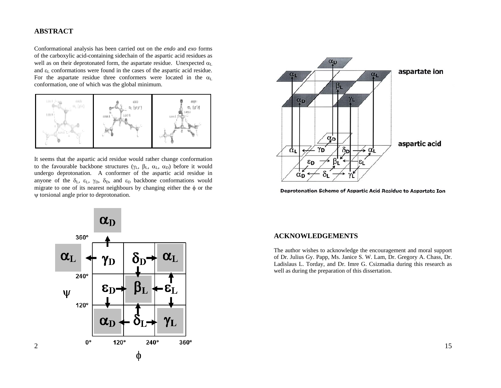## **ABSTRACT**

2

Conformational analysis has been carried out on the *endo* and *exo* forms of the carboxylic acid-containing sidechain of the aspartic acid residues as well as on their deprotonated form, the aspartate residue. Unexpected  $\alpha_L$ and  $\varepsilon_L$  conformations were found in the cases of the aspartic acid residue. For the aspartate residue three conformers were located in the  $\alpha_L$ conformation, one of which was the global minimum.



It seems that the aspartic acid residue would rather change conformation to the favourable backbone structures ( $\gamma_L$ ,  $\beta_L$ ,  $\alpha_L$ ,  $\alpha_D$ ) before it would undergo deprotonation. A conformer of the aspartic acid residue in anyone of the  $\delta_L$ ,  $\varepsilon_L$ ,  $\gamma_D$ ,  $\delta_D$ , and  $\varepsilon_D$  backbone conformations would migrate to one of its nearest neighbours by changing either the  $\phi$  or the ψ torsional angle prior to deprotonation.



Deprotonation Scheme of Aspartic Acid Residue to Aspartate Ion



## **ACKNOWLEDGEMENTS**

The author wishes to acknowledge the encouragement and moral support of Dr. Julius Gy. Papp, Ms. Janice S. W. Lam, Dr. Gregory A. Chass, Dr. Ladislaus L. Torday, and Dr. Imre G. Csizmadia during this research as well as during the preparation of this dissertation.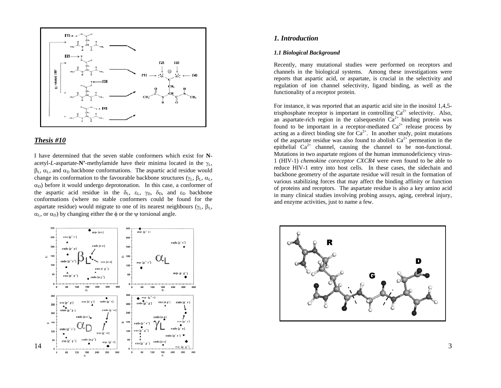

#### *Thesis #10*

I have determined that the seven stable conformers which exist for **N**acetyl-L-aspartate- $\mathbf{N}'$ -methylamide have their minima located in the  $\gamma_L$ ,  $\beta_L$ ,  $\alpha_L$ , and  $\alpha_D$  backbone conformations. The aspartic acid residue would change its conformation to the favourable backbone structures ( $\gamma_L$ ,  $\beta_L$ ,  $\alpha_L$ ,  $\alpha_D$ ) before it would undergo deprotonation. In this case, a conformer of the aspartic acid residue in the  $\delta_L$ ,  $\varepsilon_L$ ,  $\gamma_D$ ,  $\delta_D$ , and  $\varepsilon_D$  backbone conformations (where no stable conformers could be found for the aspartate residue) would migrate to one of its nearest neighbours ( $\gamma_L$ ,  $\beta_L$ ,  $\alpha_L$ , or  $\alpha_D$ ) by changing either the  $\phi$  or the  $\psi$  torsional angle.



## *1. Introduction*

#### *1.1 Biological Background*

Recently, many mutational studies were performed on receptors and channels in the biological systems. Among these investigations were reports that aspartic acid, or aspartate, is crucial in the selectivity and regulation of ion channel selectivity, ligand binding, as well as the functionality of a receptor protein.

For instance, it was reported that an aspartic acid site in the inositol 1,4,5 trisphosphate receptor is important in controlling  $Ca^{2+}$  selectivity. Also, an aspartate-rich region in the calsequestrin  $Ca^{2+}$  binding protein was found to be important in a receptor-mediated  $Ca^{2+}$  release process by acting as a direct binding site for  $Ca^{2+}$ . In another study, point mutations of the aspartate residue was also found to abolish  $Ca^{2+}$  permeation in the epithelial  $Ca^{2+}$  channel, causing the channel to be non-functional. Mutations in two aspartate regions of the human immunodeficiency virus-1 (HIV-1) *chemokine coreceptor CXCR4* were even found to be able to reduce HIV-1 entry into host cells. In these cases, the sidechain and backbone geometry of the aspartate residue will result in the formation of various stabilizing forces that may affect the binding affinity or function of proteins and receptors. The aspartate residue is also a key amino acid in many clinical studies involving probing assays, aging, cerebral injury, and enzyme activities, just to name a few.

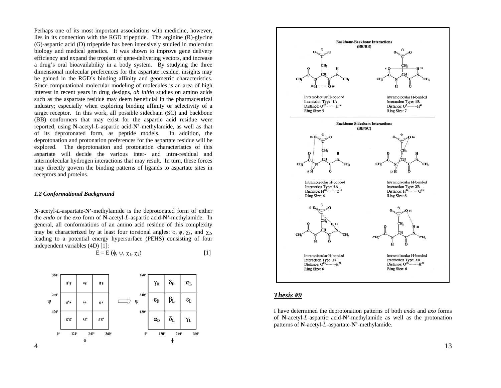Perhaps one of its most important associations with medicine, however, lies in its connection with the RGD tripeptide. The arginine (R)-glycine (G)-aspartic acid (D) tripeptide has been intensively studied in molecular biology and medical genetics. It was shown to improve gene delivery efficiency and expand the tropism of gene-delivering vectors, and increase a drug's oral bioavailability in a body system. By studying the three dimensional molecular preferences for the aspartate residue, insights may be gained in the RGD's binding affinity and geometric characteristics. Since computational molecular modeling of molecules is an area of high interest in recent years in drug designs, *ab initio* studies on amino acids such as the aspartate residue may deem beneficial in the pharmaceutical industry; especially when exploring binding affinity or selectivity of a target receptor. In this work, all possible sidechain (SC) and backbone (BB) conformers that may exist for the aspartic acid residue were reported, using **N**-acetyl-*L*-aspartic acid-**N'**-methylamide, as well as that of its deprotonated form, as peptide models. In addition, the deprotonation and protonation preferences for the aspartate residue will be explored. The deprotonation and protonation characteristics of this aspartate will decide the various inter- and intra-residual and intermolecular hydrogen interactions that may result. In turn, these forces may directly govern the binding patterns of ligands to aspartate sites in receptors and proteins.

#### *1.2 Conformational Background*

**N**-acetyl-*L*-aspartate-**N'**-methylamide is the deprotonated form of either the *endo* or the *exo* form of **N**-acetyl-*L*-aspartic acid-**N'**-methylamide. In general, all conformations of an amino acid residue of this complexity may be characterized by at least four torsional angles:  $\phi$ ,  $\psi$ ,  $\chi_1$ , and  $\chi_2$ , leading to a potential energy hypersurface (PEHS) consisting of four independent variables (4D) [1]:

$$
E = E(\phi, \psi, \chi_1, \chi_2) \tag{1}
$$





## *Thesis #9*

I have determined the deprotonation patterns of both *endo* and *exo* forms of **N**-acetyl-*L*-aspartic acid-**N'**-methylamide as well as the protonation patterns of **N**-acetyl-*L*-aspartate-**N'**-methylamide.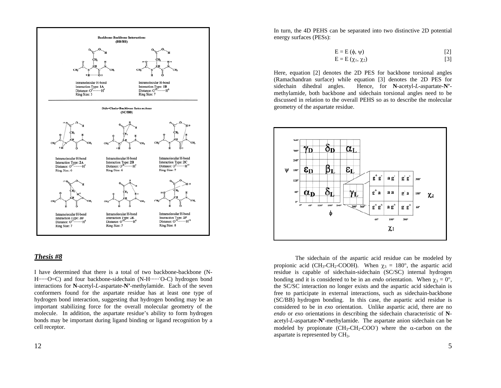

## *Thesis #8*

I have determined that there is a total of two backbone-backbone (N-H·······O=C) and four backbone-sidechain (N-H········O-C) hydrogen bond interactions for **N**-acetyl-*L*-aspartate-**N'**-methylamide. Each of the seven conformers found for the aspartate residue has at least one type of hydrogen bond interaction, suggesting that hydrogen bonding may be an important stabilizing force for the overall molecular geometry of the molecule. In addition, the aspartate residue's ability to form hydrogen bonds may be important during ligand binding or ligand recognition by a cell receptor.

In turn, the 4D PEHS can be separated into two distinctive 2D potential energy surfaces (PESs):

$$
E = E(\phi, \psi)
$$
 [2]

$$
E = E(\chi_1, \chi_2) \tag{3}
$$

Here, equation [2] denotes the 2D PES for backbone torsional angles (Ramachandran surface) while equation [3] denotes the 2D PES for sidechain dihedral angles. Hence, for **N**-acetyl-*L*-aspartate-**N'** methylamide, both backbone and sidechain torsional angles need to be discussed in relation to the overall PEHS so as to describe the molecular geometry of the aspartate residue.



The sidechain of the aspartic acid residue can be modeled by propionic acid (CH<sub>3</sub>-CH<sub>2</sub>-COOH). When  $\chi_3 = 180^\circ$ , the aspartic acid residue is capable of sidechain-sidechain (SC/SC) internal hydrogen bonding and it is considered to be in an *endo* orientation. When  $\gamma_3 = 0^\circ$ , the SC/SC interaction no longer exists and the aspartic acid sidechain is free to participate in external interactions, such as sidechain-backbone (SC/BB) hydrogen bonding. In this case, the aspartic acid residue is considered to be in *exo* orientation. Unlike aspartic acid, there are no *endo* or *exo* orientations in describing the sidechain characteristic of **N**acetyl-*L*-aspartate-**N'**-methylamide. The aspartate anion sidechain can be modeled by propionate  $(CH_3-CH_2-COO^-)$  where the  $\alpha$ -carbon on the aspartate is represented by CH<sub>3</sub>.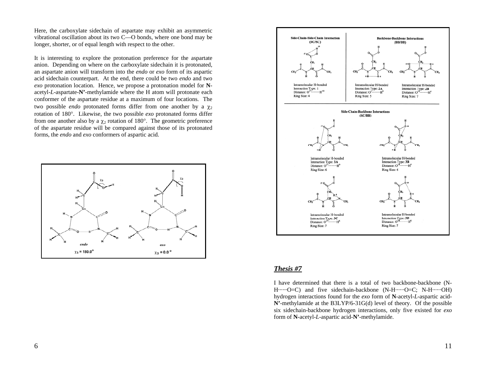Here, the carboxylate sidechain of aspartate may exhibit an asymmetric vibrational oscillation about its two C—O bonds, where one bond may be longer, shorter, or of equal length with respect to the other.

It is interesting to explore the protonation preference for the aspartate anion. Depending on where on the carboxylate sidechain it is protonated, an aspartate anion will transform into the *endo* or *exo* form of its aspartic acid sidechain counterpart. At the end, there could be two *endo* and two *exo* protonation location. Hence, we propose a protonation model for **N**acetyl-*L*-aspartate-**N'**-methylamide where the H atom will protonate each conformer of the aspartate residue at a maximum of four locations. The two possible *endo* protonated forms differ from one another by a  $\chi_2$ rotation of 180°. Likewise, the two possible *exo* protonated forms differ from one another also by a  $\chi_2$  rotation of 180°. The geometric preference of the aspartate residue will be compared against those of its protonated forms, the *endo* and *exo* conformers of aspartic acid.





## *Thesis #7*

I have determined that there is a total of two backbone-backbone (N-H·······O=C) and five sidechain-backbone (N-H·······O=C; N-H·······OH) hydrogen interactions found for the *exo* form of **N**-acetyl-*L*-aspartic acid-**N'**-methylamide at the B3LYP/6-31G(d) level of theory. Of the possible six sidechain-backbone hydrogen interactions, only five existed for *exo* form of **N**-acetyl-*L*-aspartic acid-**N'**-methylamide.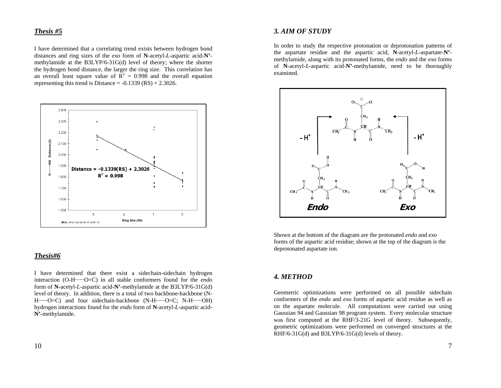## *Thesis #5*

I have determined that a correlating trend exists between hydrogen bond distances and ring sizes of the *exo* form of **N**-acetyl-*L*-aspartic acid-**N'** methylamide at the B3LYP/6-31G(d) level of theory; where the shorter the hydrogen bond distance, the larger the ring size. This correlation has an overall least square value of  $R^2 = 0.998$  and the overall equation representing this trend is Distance  $= -0.1339$  (RS)  $+ 2.3026$ .



### *Thesis#6*

I have determined that there exist a sidechain-sidechain hydrogen interaction (O-H······O=C) in all stable conformers found for the *endo* form of **N**-acetyl-*L*-aspartic acid-**N'**-methylamide at the B3LYP/6-31G(d) level of theory. In addition, there is a total of two backbone-backbone (N-H·······O=C) and four sidechain-backbone (N-H·······O=C; N-H·······OH) hydrogen interactions found for the *endo* form of **N**-acetyl-*L*-aspartic acid-**N'**-methylamide.

### *3. AIM OF STUDY*

In order to study the respective protonation or deprotonation patterns of the aspartate residue and the aspartic acid, **N**-acetyl-*L*-aspartate-**N'** methylamide, along with its protonated forms, the *endo* and the *exo* forms of **N**-acetyl-*L*-aspartic acid-**N'**-methylamide, need to be thoroughly examined.



Shown at the bottom of the diagram are the protonated *endo* and *exo* forms of the aspartic acid residue; shown at the top of the diagram is the deprotonated aspartate ion.

## *4. METHOD*

Geometric optimizations were performed on all possible sidechain conformers of the *endo* and *exo* forms of aspartic acid residue as well as on the aspartate molecule. All computations were carried out using Gaussian 94 and Gaussian 98 program system. Every molecular structure was first computed at the RHF/3-21G level of theory. Subsequently, geometric optimizations were performed on converged structures at the  $RHF/6-31G(d)$  and B3LYP/6-31G(d) levels of theory.